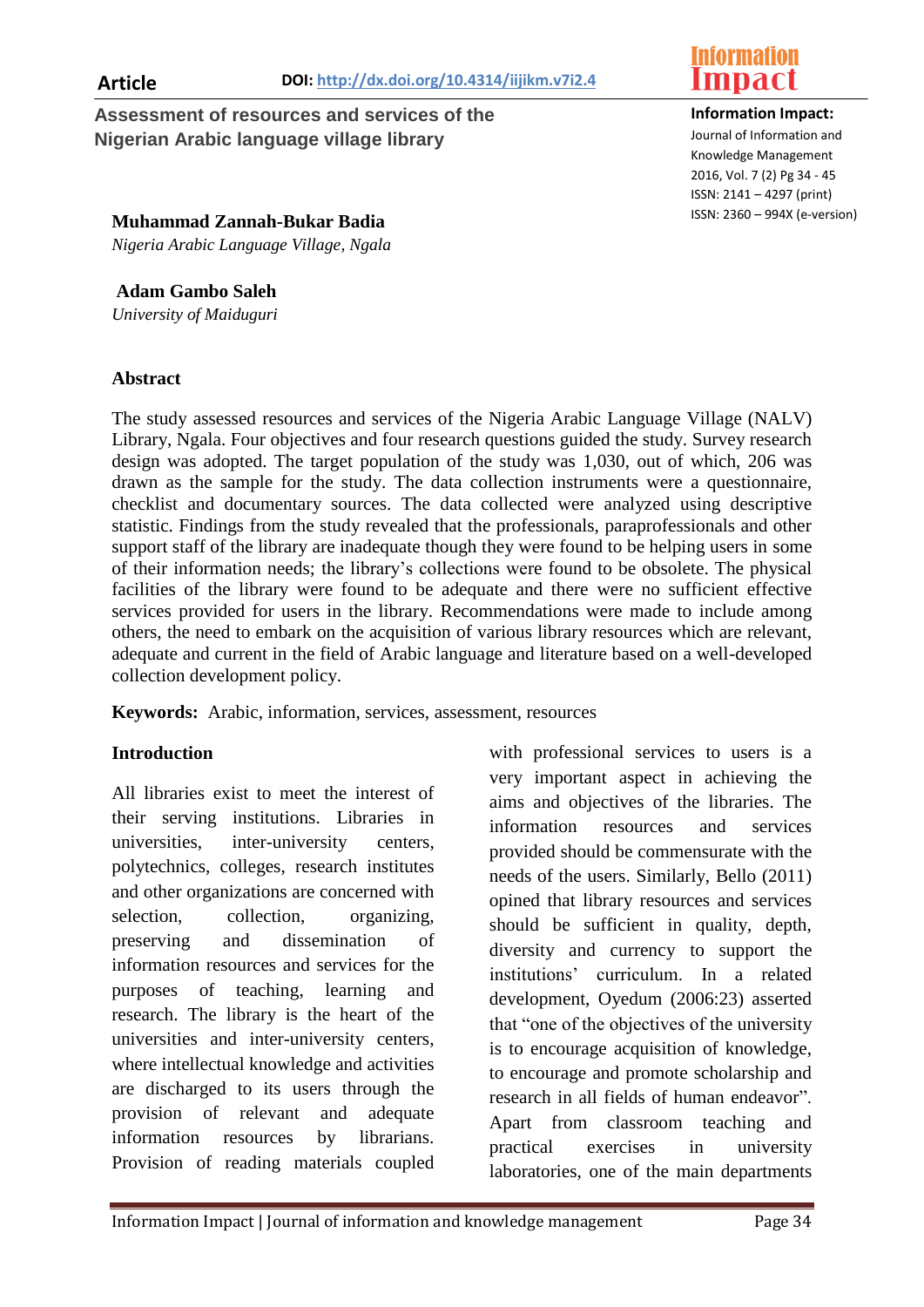**Assessment of resources and services of the Nigerian Arabic language village library**



**Information Impact:** 

Journal of Information and Knowledge Management 2016, Vol. 7 (2) Pg 34 - 45 ISSN: 2141 – 4297 (print) ISSN: 2360 – 994X (e-version)

**Muhammad Zannah-Bukar Badia** *Nigeria Arabic Language Village, Ngala*

**Adam Gambo Saleh** *University of Maiduguri*

#### **Abstract**

The study assessed resources and services of the Nigeria Arabic Language Village (NALV) Library, Ngala. Four objectives and four research questions guided the study. Survey research design was adopted. The target population of the study was 1,030, out of which, 206 was drawn as the sample for the study. The data collection instruments were a questionnaire, checklist and documentary sources. The data collected were analyzed using descriptive statistic. Findings from the study revealed that the professionals, paraprofessionals and other support staff of the library are inadequate though they were found to be helping users in some of their information needs; the library"s collections were found to be obsolete. The physical facilities of the library were found to be adequate and there were no sufficient effective services provided for users in the library. Recommendations were made to include among others, the need to embark on the acquisition of various library resources which are relevant, adequate and current in the field of Arabic language and literature based on a well-developed collection development policy.

**Keywords:** Arabic, information, services, assessment, resources

#### **Introduction**

All libraries exist to meet the interest of their serving institutions. Libraries in universities, inter-university centers, polytechnics, colleges, research institutes and other organizations are concerned with selection, collection, organizing, preserving and dissemination of information resources and services for the purposes of teaching, learning and research. The library is the heart of the universities and inter-university centers, where intellectual knowledge and activities are discharged to its users through the provision of relevant and adequate information resources by librarians. Provision of reading materials coupled

with professional services to users is a very important aspect in achieving the aims and objectives of the libraries. The information resources and services provided should be commensurate with the needs of the users. Similarly, Bello (2011) opined that library resources and services should be sufficient in quality, depth, diversity and currency to support the institutions" curriculum. In a related development, Oyedum (2006:23) asserted that "one of the objectives of the university is to encourage acquisition of knowledge, to encourage and promote scholarship and research in all fields of human endeavor". Apart from classroom teaching and practical exercises in university laboratories, one of the main departments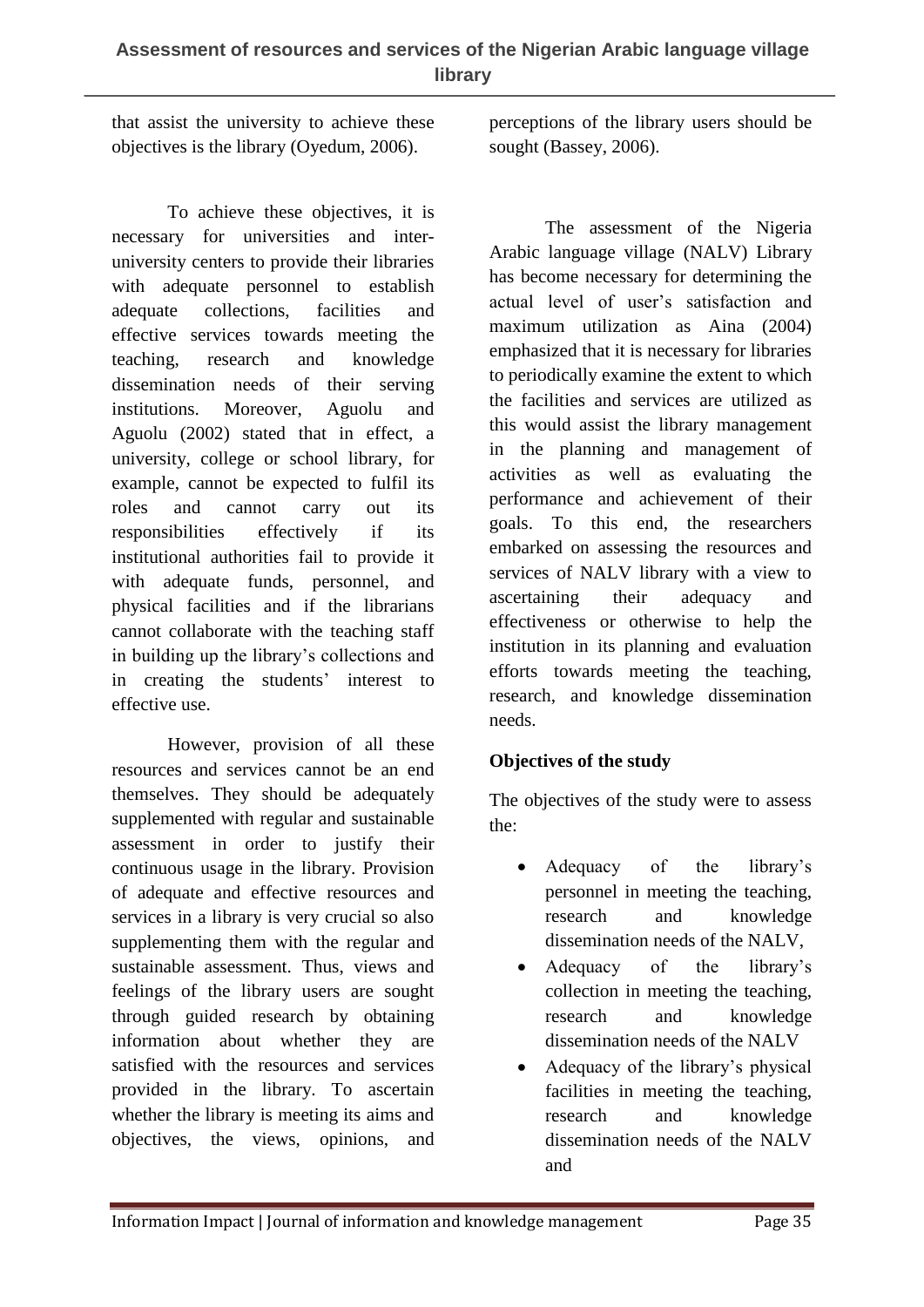that assist the university to achieve these objectives is the library (Oyedum, 2006).

To achieve these objectives, it is necessary for universities and interuniversity centers to provide their libraries with adequate personnel to establish adequate collections, facilities and effective services towards meeting the teaching, research and knowledge dissemination needs of their serving institutions. Moreover, Aguolu and Aguolu (2002) stated that in effect, a university, college or school library, for example, cannot be expected to fulfil its roles and cannot carry out its responsibilities effectively if its institutional authorities fail to provide it with adequate funds, personnel, and physical facilities and if the librarians cannot collaborate with the teaching staff in building up the library"s collections and in creating the students' interest to effective use.

However, provision of all these resources and services cannot be an end themselves. They should be adequately supplemented with regular and sustainable assessment in order to justify their continuous usage in the library. Provision of adequate and effective resources and services in a library is very crucial so also supplementing them with the regular and sustainable assessment. Thus, views and feelings of the library users are sought through guided research by obtaining information about whether they are satisfied with the resources and services provided in the library. To ascertain whether the library is meeting its aims and objectives, the views, opinions, and perceptions of the library users should be sought (Bassey, 2006).

The assessment of the Nigeria Arabic language village (NALV) Library has become necessary for determining the actual level of user"s satisfaction and maximum utilization as Aina (2004) emphasized that it is necessary for libraries to periodically examine the extent to which the facilities and services are utilized as this would assist the library management in the planning and management of activities as well as evaluating the performance and achievement of their goals. To this end, the researchers embarked on assessing the resources and services of NALV library with a view to ascertaining their adequacy and effectiveness or otherwise to help the institution in its planning and evaluation efforts towards meeting the teaching, research, and knowledge dissemination needs.

# **Objectives of the study**

The objectives of the study were to assess the:

- Adequacy of the library's personnel in meeting the teaching, research and knowledge dissemination needs of the NALV,
- Adequacy of the library's collection in meeting the teaching, research and knowledge dissemination needs of the NALV
- Adequacy of the library's physical facilities in meeting the teaching, research and knowledge dissemination needs of the NALV and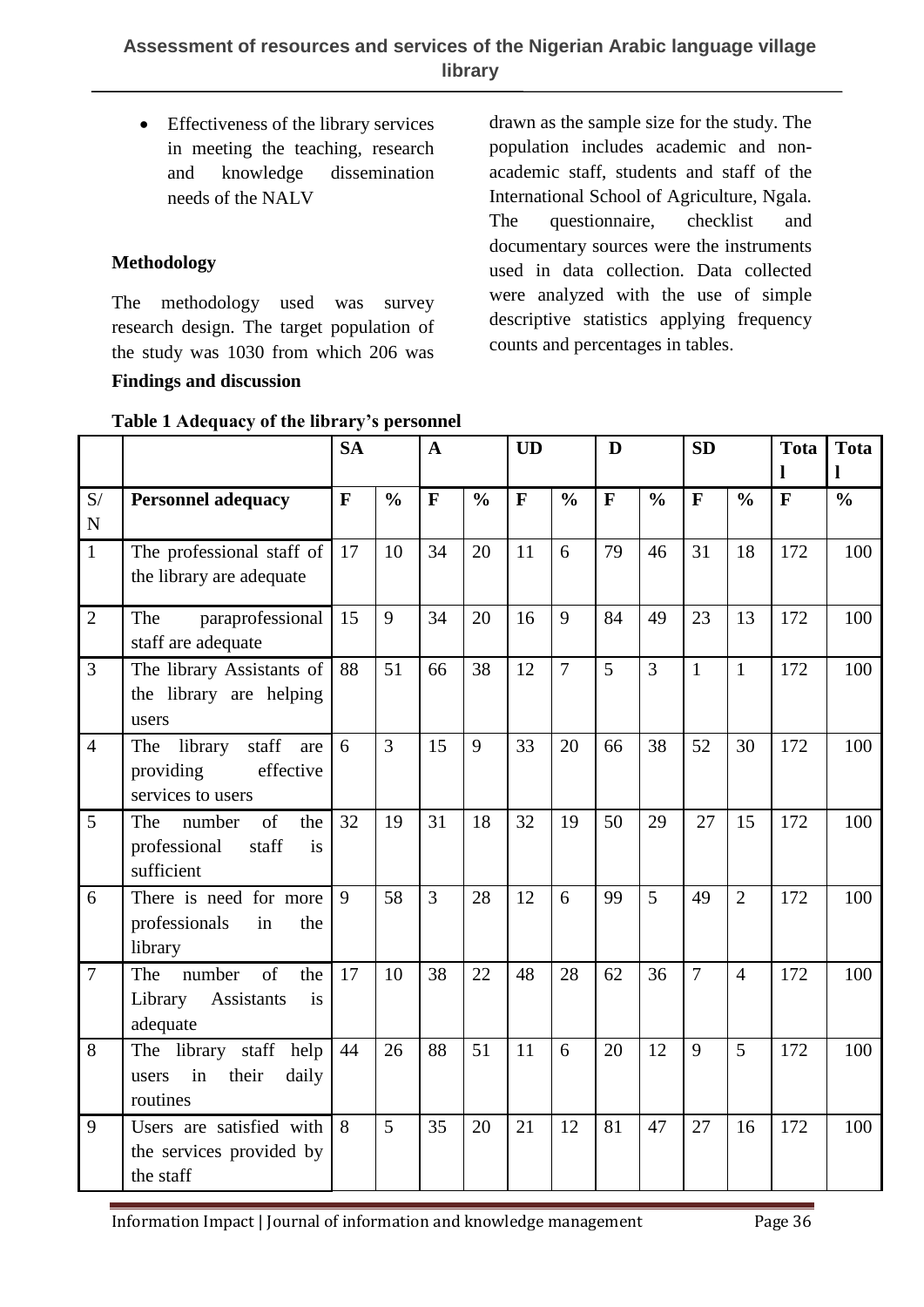• Effectiveness of the library services in meeting the teaching, research and knowledge dissemination needs of the NALV

### **Methodology**

The methodology used was survey research design. The target population of the study was 1030 from which 206 was **Findings and discussion**

drawn as the sample size for the study. The population includes academic and nonacademic staff, students and staff of the International School of Agriculture, Ngala. The questionnaire, checklist and documentary sources were the instruments used in data collection. Data collected were analyzed with the use of simple descriptive statistics applying frequency counts and percentages in tables.

|                   |                                                                               | <b>SA</b>    |                | $\mathbf{A}$   |               | <b>UD</b> |                | D            |                | <b>SD</b>      |                | <b>Tota</b><br>1 | <b>Tota</b><br>1 |
|-------------------|-------------------------------------------------------------------------------|--------------|----------------|----------------|---------------|-----------|----------------|--------------|----------------|----------------|----------------|------------------|------------------|
| S/<br>$\mathbf N$ | <b>Personnel adequacy</b>                                                     | $\mathbf{F}$ | $\frac{0}{0}$  | $\mathbf{F}$   | $\frac{0}{0}$ | F         | $\frac{0}{0}$  | $\mathbf{F}$ | $\frac{0}{0}$  | F              | $\frac{0}{0}$  | $\mathbf{F}$     | $\frac{0}{0}$    |
| $\mathbf{1}$      | The professional staff of<br>the library are adequate                         | 17           | 10             | 34             | 20            | 11        | 6              | 79           | 46             | 31             | 18             | 172              | 100              |
| $\overline{2}$    | paraprofessional<br>The<br>staff are adequate                                 | 15           | 9              | 34             | 20            | 16        | 9              | 84           | 49             | 23             | 13             | 172              | 100              |
| 3                 | The library Assistants of<br>the library are helping<br>users                 | 88           | 51             | 66             | 38            | 12        | $\overline{7}$ | 5            | $\overline{3}$ | $\mathbf{1}$   | $\mathbf{1}$   | 172              | 100              |
| $\overline{4}$    | library<br>staff<br>The<br>are<br>effective<br>providing<br>services to users | 6            | $\overline{3}$ | 15             | 9             | 33        | 20             | 66           | 38             | 52             | 30             | 172              | 100              |
| 5                 | of<br>the<br>The<br>number<br>professional<br>staff<br>is<br>sufficient       | 32           | 19             | 31             | 18            | 32        | 19             | 50           | 29             | 27             | 15             | 172              | 100              |
| 6                 | There is need for more<br>professionals<br>in<br>the<br>library               | $\mathbf{Q}$ | 58             | $\overline{3}$ | 28            | 12        | 6              | 99           | 5              | 49             | $\overline{2}$ | 172              | 100              |
| $\tau$            | number<br>$\sigma$ f<br>The<br>the<br>Assistants<br>Library<br>is<br>adequate | 17           | 10             | 38             | 22            | 48        | 28             | 62           | 36             | $\overline{7}$ | $\overline{4}$ | 172              | 100              |
| 8                 | The library staff help<br>in<br>their<br>daily<br>users<br>routines           | 44           | 26             | 88             | 51            | 11        | 6              | 20           | 12             | 9              | 5              | 172              | 100              |
| 9                 | Users are satisfied with<br>the services provided by<br>the staff             | 8            | 5              | 35             | 20            | 21        | 12             | 81           | 47             | 27             | 16             | 172              | 100              |

#### **Table 1 Adequacy of the library's personnel**

Information Impact | Journal of information and knowledge management Page 36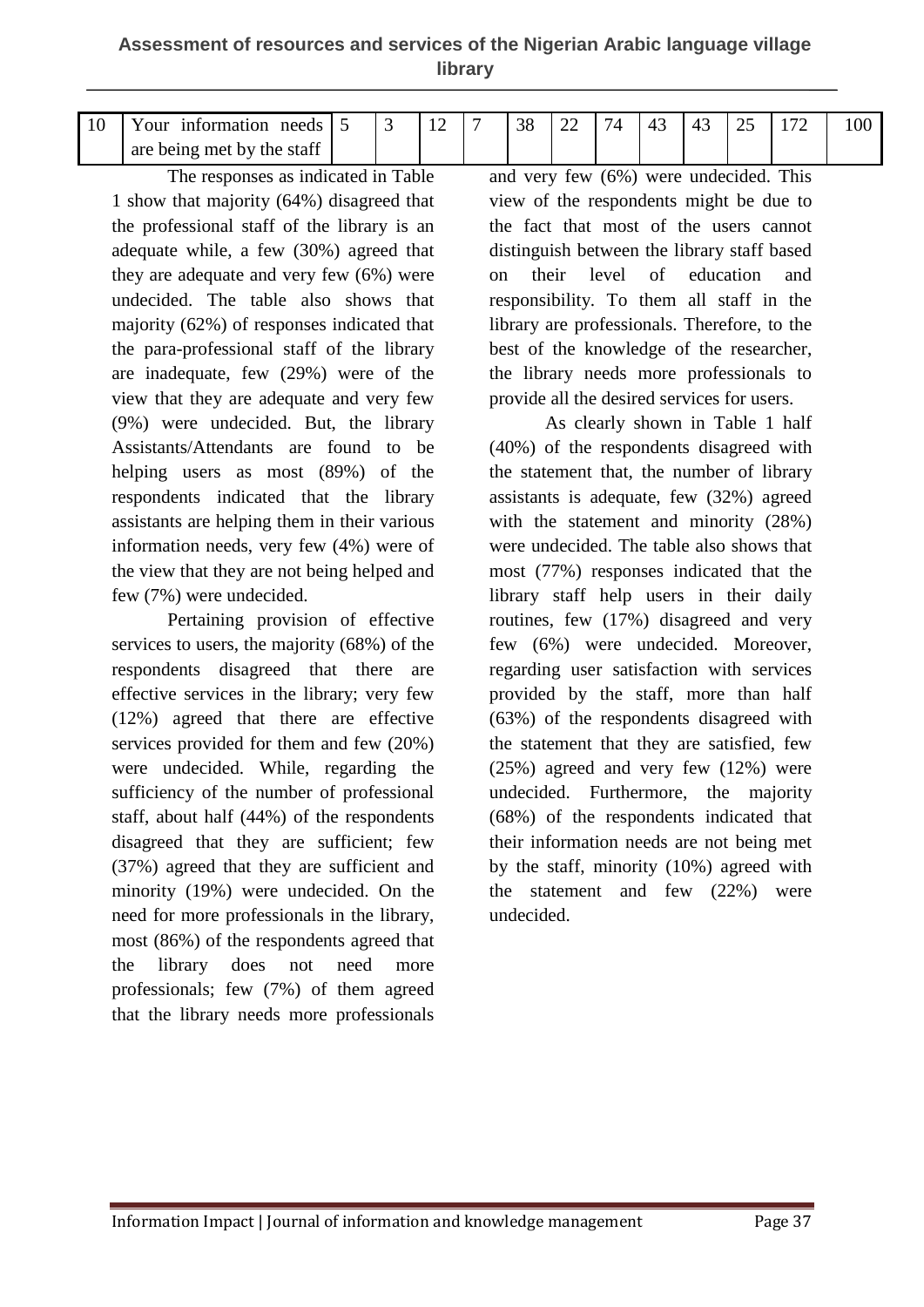# **Assessment of resources and services of the Nigerian Arabic language village library**

| 10 | 1nformation<br>. our<br>needs             |  | ┸ | $\cap$ C<br>ЭC | ∸∸ | . . | . . | $\sim$ $\sim$<br><u>_</u> | $\overline{\phantom{a}}$ | 100 |
|----|-------------------------------------------|--|---|----------------|----|-----|-----|---------------------------|--------------------------|-----|
|    | $\alpha$<br>staff<br>are being met by the |  |   |                |    |     |     |                           |                          |     |

The responses as indicated in Table 1 show that majority (64%) disagreed that the professional staff of the library is an adequate while, a few (30%) agreed that they are adequate and very few (6%) were undecided. The table also shows that majority (62%) of responses indicated that the para-professional staff of the library are inadequate, few (29%) were of the view that they are adequate and very few (9%) were undecided. But, the library Assistants/Attendants are found to be helping users as most (89%) of the respondents indicated that the library assistants are helping them in their various information needs, very few (4%) were of the view that they are not being helped and few (7%) were undecided.

Pertaining provision of effective services to users, the majority (68%) of the respondents disagreed that there are effective services in the library; very few (12%) agreed that there are effective services provided for them and few (20%) were undecided. While, regarding the sufficiency of the number of professional staff, about half (44%) of the respondents disagreed that they are sufficient; few (37%) agreed that they are sufficient and minority (19%) were undecided. On the need for more professionals in the library, most (86%) of the respondents agreed that the library does not need more professionals; few (7%) of them agreed that the library needs more professionals

and very few (6%) were undecided. This view of the respondents might be due to the fact that most of the users cannot distinguish between the library staff based on their level of education and responsibility. To them all staff in the library are professionals. Therefore, to the best of the knowledge of the researcher, the library needs more professionals to provide all the desired services for users.

As clearly shown in Table 1 half (40%) of the respondents disagreed with the statement that, the number of library assistants is adequate, few (32%) agreed with the statement and minority (28%) were undecided. The table also shows that most (77%) responses indicated that the library staff help users in their daily routines, few (17%) disagreed and very few (6%) were undecided. Moreover, regarding user satisfaction with services provided by the staff, more than half (63%) of the respondents disagreed with the statement that they are satisfied, few (25%) agreed and very few (12%) were undecided. Furthermore, the majority (68%) of the respondents indicated that their information needs are not being met by the staff, minority (10%) agreed with the statement and few (22%) were undecided.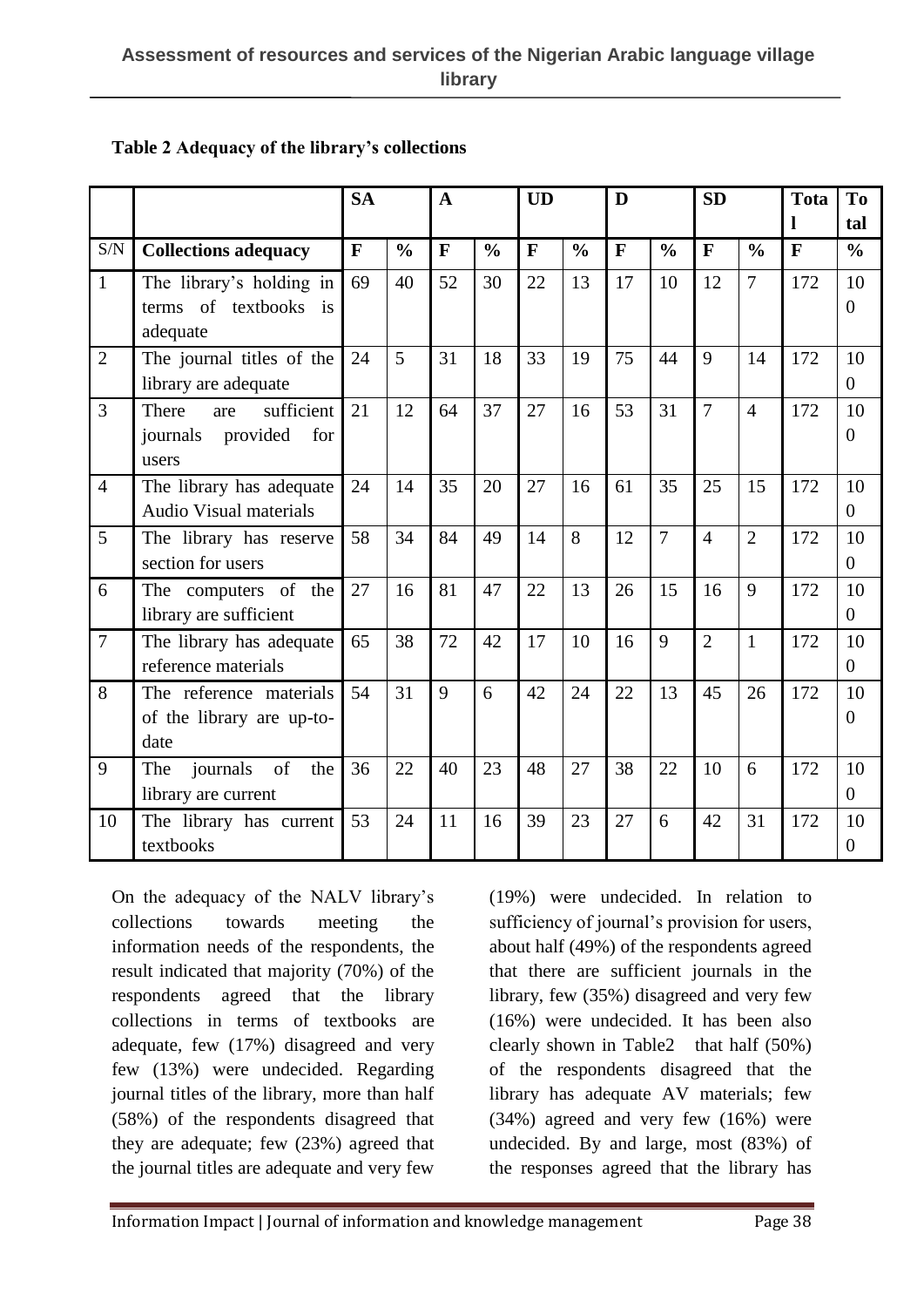|                |                                                                    | <b>SA</b>    |               | $\mathbf{A}$ |               |              |               | D  |                | SD             |                | <b>Tota</b><br>1 | T <sub>0</sub><br>tal  |
|----------------|--------------------------------------------------------------------|--------------|---------------|--------------|---------------|--------------|---------------|----|----------------|----------------|----------------|------------------|------------------------|
| S/N            | <b>Collections adequacy</b>                                        | $\mathbf{F}$ | $\frac{0}{0}$ | F            | $\frac{0}{0}$ | $\mathbf{F}$ | $\frac{0}{0}$ | F  | $\frac{0}{0}$  | $\mathbf{F}$   | $\frac{0}{0}$  | $\mathbf{F}$     | $\frac{0}{0}$          |
| $\mathbf{1}$   | The library's holding in<br>terms of textbooks is<br>adequate      | 69           | 40            | 52           | 30            | 22           | 13            | 17 | 10             | 12             | $\overline{7}$ | 172              | 10<br>$\overline{0}$   |
| $\overline{2}$ | The journal titles of the<br>library are adequate                  | 24           | 5             | 31           | 18            | 33           | 19            | 75 | 44             | 9              | 14             | 172              | 10<br>$\overline{0}$   |
| $\overline{3}$ | sufficient<br>There<br>are<br>provided<br>journals<br>for<br>users | 21           | 12            | 64           | 37            | 27           | 16            | 53 | 31             | $\overline{7}$ | $\overline{4}$ | 172              | 10<br>$\boldsymbol{0}$ |
| $\overline{4}$ | The library has adequate<br>Audio Visual materials                 | 24           | 14            | 35           | 20            | 27           | 16            | 61 | 35             | 25             | 15             | 172              | 10<br>$\overline{0}$   |
| 5              | The library has reserve<br>section for users                       | 58           | 34            | 84           | 49            | 14           | 8             | 12 | $\overline{7}$ | $\overline{4}$ | $\overline{2}$ | 172              | 10<br>$\theta$         |
| 6              | The computers of the<br>library are sufficient                     | 27           | 16            | 81           | 47            | 22           | 13            | 26 | 15             | 16             | 9              | 172              | 10<br>$\theta$         |
| $\overline{7}$ | The library has adequate<br>reference materials                    | 65           | 38            | 72           | 42            | 17           | 10            | 16 | 9              | $\overline{2}$ | $\mathbf{1}$   | 172              | 10<br>$\overline{0}$   |
| 8              | The reference materials<br>of the library are up-to-<br>date       | 54           | 31            | 9            | 6             | 42           | 24            | 22 | 13             | 45             | 26             | 172              | 10<br>$\overline{0}$   |
| 9              | of<br>The<br>journals<br>the<br>library are current                | 36           | 22            | 40           | 23            | 48           | 27            | 38 | 22             | 10             | 6              | 172              | 10<br>$\theta$         |
| 10             | The library has current<br>textbooks                               | 53           | 24            | 11           | 16            | 39           | 23            | 27 | 6              | 42             | 31             | 172              | 10<br>$\theta$         |

### **Table 2 Adequacy of the library's collections**

On the adequacy of the NALV library"s collections towards meeting the information needs of the respondents, the result indicated that majority (70%) of the respondents agreed that the library collections in terms of textbooks are adequate, few (17%) disagreed and very few (13%) were undecided. Regarding journal titles of the library, more than half (58%) of the respondents disagreed that they are adequate; few (23%) agreed that the journal titles are adequate and very few

(19%) were undecided. In relation to sufficiency of journal's provision for users, about half (49%) of the respondents agreed that there are sufficient journals in the library, few (35%) disagreed and very few (16%) were undecided. It has been also clearly shown in Table2 that half (50%) of the respondents disagreed that the library has adequate AV materials; few (34%) agreed and very few (16%) were undecided. By and large, most (83%) of the responses agreed that the library has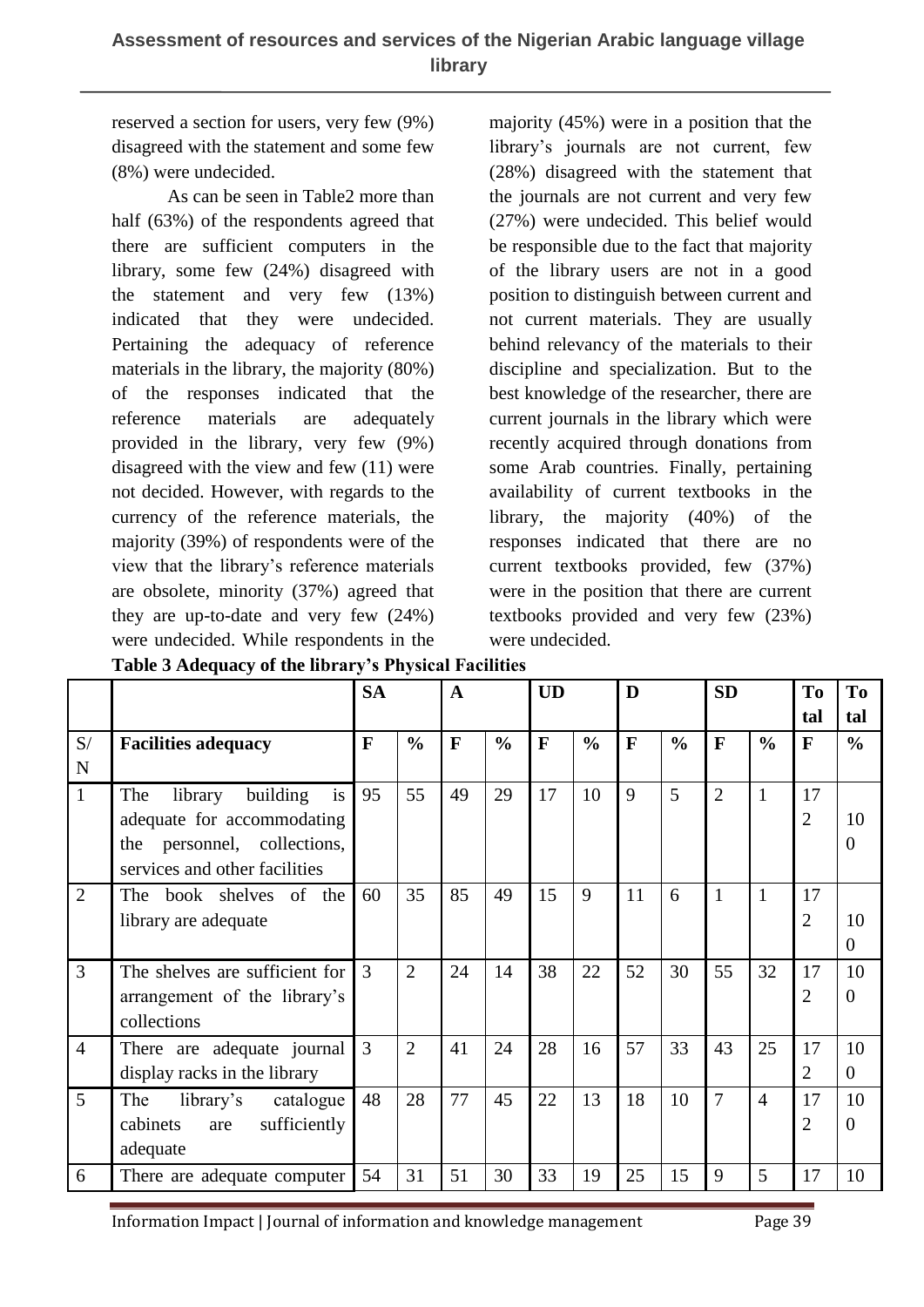reserved a section for users, very few (9%) disagreed with the statement and some few (8%) were undecided.

As can be seen in Table2 more than half (63%) of the respondents agreed that there are sufficient computers in the library, some few (24%) disagreed with the statement and very few (13%) indicated that they were undecided. Pertaining the adequacy of reference materials in the library, the majority (80%) of the responses indicated that the reference materials are adequately provided in the library, very few (9%) disagreed with the view and few (11) were not decided. However, with regards to the currency of the reference materials, the majority (39%) of respondents were of the view that the library"s reference materials are obsolete, minority (37%) agreed that they are up-to-date and very few (24%) were undecided. While respondents in the majority (45%) were in a position that the library's journals are not current, few (28%) disagreed with the statement that the journals are not current and very few (27%) were undecided. This belief would be responsible due to the fact that majority of the library users are not in a good position to distinguish between current and not current materials. They are usually behind relevancy of the materials to their discipline and specialization. But to the best knowledge of the researcher, there are current journals in the library which were recently acquired through donations from some Arab countries. Finally, pertaining availability of current textbooks in the library, the majority (40%) of the responses indicated that there are no current textbooks provided, few (37%) were in the position that there are current textbooks provided and very few (23%) were undecided.

|                | radic o Aucquacy or the horary 3 r hysical Pachnues |              |                |              |               |              |               |              |               |                |                |                |                |
|----------------|-----------------------------------------------------|--------------|----------------|--------------|---------------|--------------|---------------|--------------|---------------|----------------|----------------|----------------|----------------|
|                |                                                     | <b>SA</b>    |                | $\mathbf{A}$ |               | <b>UD</b>    |               | D            |               | <b>SD</b>      |                | T <sub>0</sub> | To             |
|                |                                                     |              |                |              |               |              |               |              |               |                |                | tal            | tal            |
| S/             | <b>Facilities adequacy</b>                          | $\mathbf{F}$ | $\frac{0}{0}$  | $\mathbf{F}$ | $\frac{0}{0}$ | $\mathbf{F}$ | $\frac{6}{6}$ | $\mathbf{F}$ | $\frac{0}{0}$ | $\mathbf{F}$   | $\frac{6}{6}$  | $\mathbf{F}$   | $\frac{0}{0}$  |
| $\mathbf N$    |                                                     |              |                |              |               |              |               |              |               |                |                |                |                |
| $\mathbf{1}$   | building<br>is<br>The<br>library                    | 95           | 55             | 49           | 29            | 17           | 10            | 9            | 5             | $\overline{2}$ | $\mathbf{1}$   | 17             |                |
|                | adequate for accommodating                          |              |                |              |               |              |               |              |               |                |                | $\overline{2}$ | 10             |
|                | the personnel, collections,                         |              |                |              |               |              |               |              |               |                |                |                | $\theta$       |
|                | services and other facilities                       |              |                |              |               |              |               |              |               |                |                |                |                |
| $\overline{2}$ | The book shelves of the                             | 60           | 35             | 85           | 49            | 15           | 9             | 11           | 6             | 1              | $\mathbf{1}$   | 17             |                |
|                | library are adequate                                |              |                |              |               |              |               |              |               |                |                | $\overline{2}$ | 10             |
|                |                                                     |              |                |              |               |              |               |              |               |                |                |                | $\mathbf{0}$   |
| $\overline{3}$ | The shelves are sufficient for                      | 3            | $\overline{2}$ | 24           | 14            | 38           | 22            | 52           | 30            | 55             | 32             | 17             | 10             |
|                | arrangement of the library's                        |              |                |              |               |              |               |              |               |                |                | $\overline{2}$ | $\theta$       |
|                | collections                                         |              |                |              |               |              |               |              |               |                |                |                |                |
| $\overline{4}$ | There are adequate journal                          | 3            | $\overline{2}$ | 41           | 24            | 28           | 16            | 57           | 33            | 43             | 25             | 17             | 10             |
|                | display racks in the library                        |              |                |              |               |              |               |              |               |                |                | $\overline{2}$ | $\overline{0}$ |
| 5              | The<br>library's<br>catalogue                       | 48           | 28             | 77           | 45            | 22           | 13            | 18           | 10            | $\overline{7}$ | $\overline{4}$ | 17             | 10             |
|                | sufficiently<br>cabinets<br>are                     |              |                |              |               |              |               |              |               |                |                | $\overline{2}$ | $\overline{0}$ |
|                | adequate                                            |              |                |              |               |              |               |              |               |                |                |                |                |
| 6              | There are adequate computer                         | 54           | 31             | 51           | 30            | 33           | 19            | 25           | 15            | 9              | 5              | 17             | 10             |

**Table 3 Adequacy of the library's Physical Facilities**

Information Impact | Journal of information and knowledge management Page 39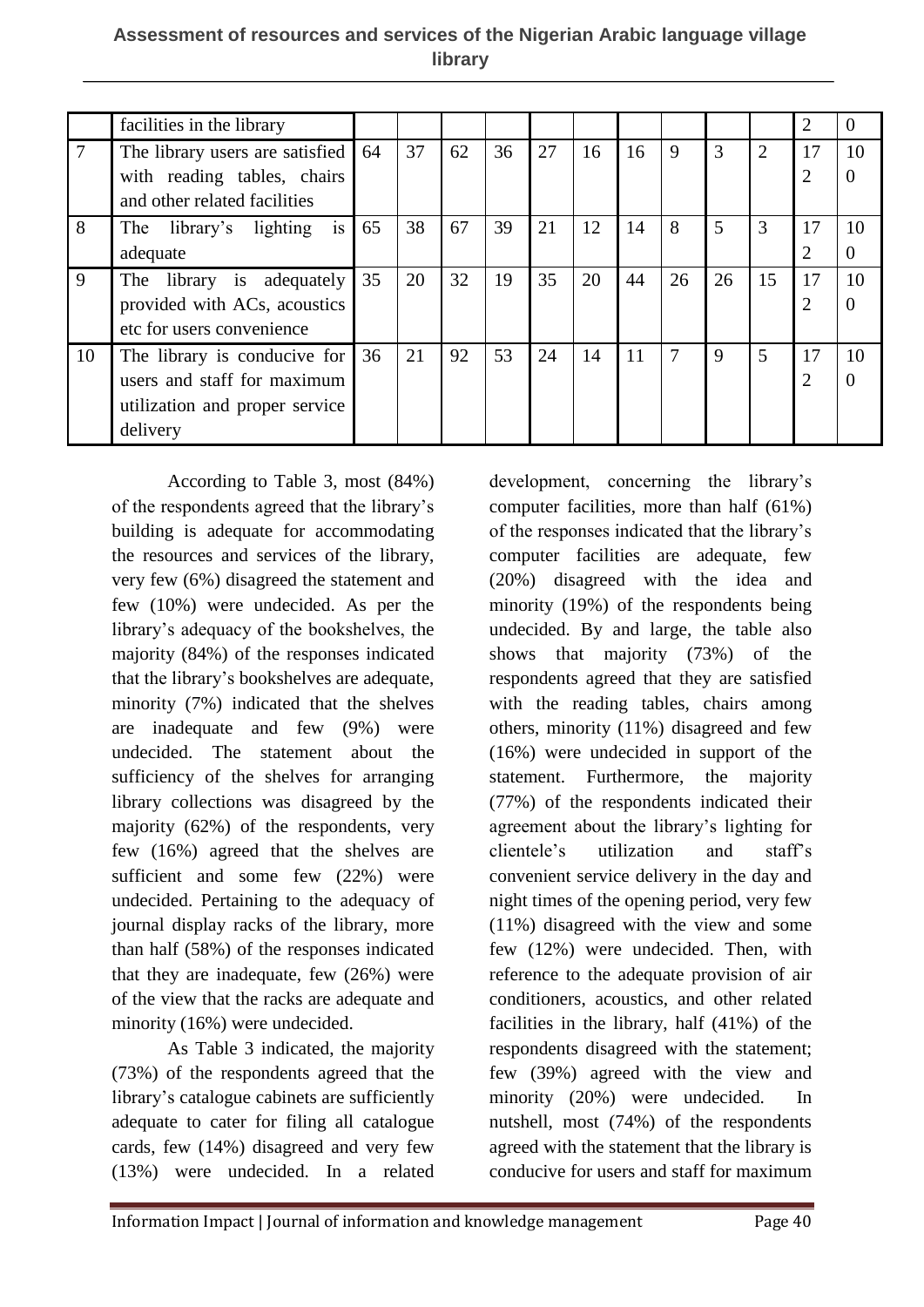# **Assessment of resources and services of the Nigerian Arabic language village library**

|    | facilities in the library                                                                                 |    |    |    |    |    |    |    |                |    |                | 2       | $\theta$       |
|----|-----------------------------------------------------------------------------------------------------------|----|----|----|----|----|----|----|----------------|----|----------------|---------|----------------|
|    | The library users are satisfied<br>with reading tables, chairs<br>and other related facilities            | 64 | 37 | 62 | 36 | 27 | 16 | 16 | 9              | 3  | $\overline{2}$ | 17<br>2 | 10<br>$\Omega$ |
| 8  | The library's lighting is<br>adequate                                                                     | 65 | 38 | 67 | 39 | 21 | 12 | 14 | 8              | 5  | 3              | 17<br>2 | 10<br>$\Omega$ |
| 9  | The library is adequately<br>provided with ACs, acoustics<br>etc for users convenience                    | 35 | 20 | 32 | 19 | 35 | 20 | 44 | 26             | 26 | 15             | 17<br>2 | 10<br>$\Omega$ |
| 10 | The library is conducive for<br>users and staff for maximum<br>utilization and proper service<br>delivery | 36 | 21 | 92 | 53 | 24 | 14 | 11 | $\overline{7}$ | 9  | 5              | 17<br>っ | 10<br>$\Omega$ |

According to Table 3, most (84%) of the respondents agreed that the library"s building is adequate for accommodating the resources and services of the library, very few (6%) disagreed the statement and few (10%) were undecided. As per the library"s adequacy of the bookshelves, the majority (84%) of the responses indicated that the library"s bookshelves are adequate, minority (7%) indicated that the shelves are inadequate and few (9%) were undecided. The statement about the sufficiency of the shelves for arranging library collections was disagreed by the majority (62%) of the respondents, very few (16%) agreed that the shelves are sufficient and some few (22%) were undecided. Pertaining to the adequacy of journal display racks of the library, more than half (58%) of the responses indicated that they are inadequate, few (26%) were of the view that the racks are adequate and minority (16%) were undecided.

As Table 3 indicated, the majority (73%) of the respondents agreed that the library"s catalogue cabinets are sufficiently adequate to cater for filing all catalogue cards, few (14%) disagreed and very few (13%) were undecided. In a related development, concerning the library's computer facilities, more than half (61%) of the responses indicated that the library"s computer facilities are adequate, few (20%) disagreed with the idea and minority (19%) of the respondents being undecided. By and large, the table also shows that majority (73%) of the respondents agreed that they are satisfied with the reading tables, chairs among others, minority (11%) disagreed and few (16%) were undecided in support of the statement. Furthermore, the majority (77%) of the respondents indicated their agreement about the library"s lighting for clientele"s utilization and staff"s convenient service delivery in the day and night times of the opening period, very few (11%) disagreed with the view and some few (12%) were undecided. Then, with reference to the adequate provision of air conditioners, acoustics, and other related facilities in the library, half (41%) of the respondents disagreed with the statement; few (39%) agreed with the view and minority (20%) were undecided. In nutshell, most (74%) of the respondents agreed with the statement that the library is conducive for users and staff for maximum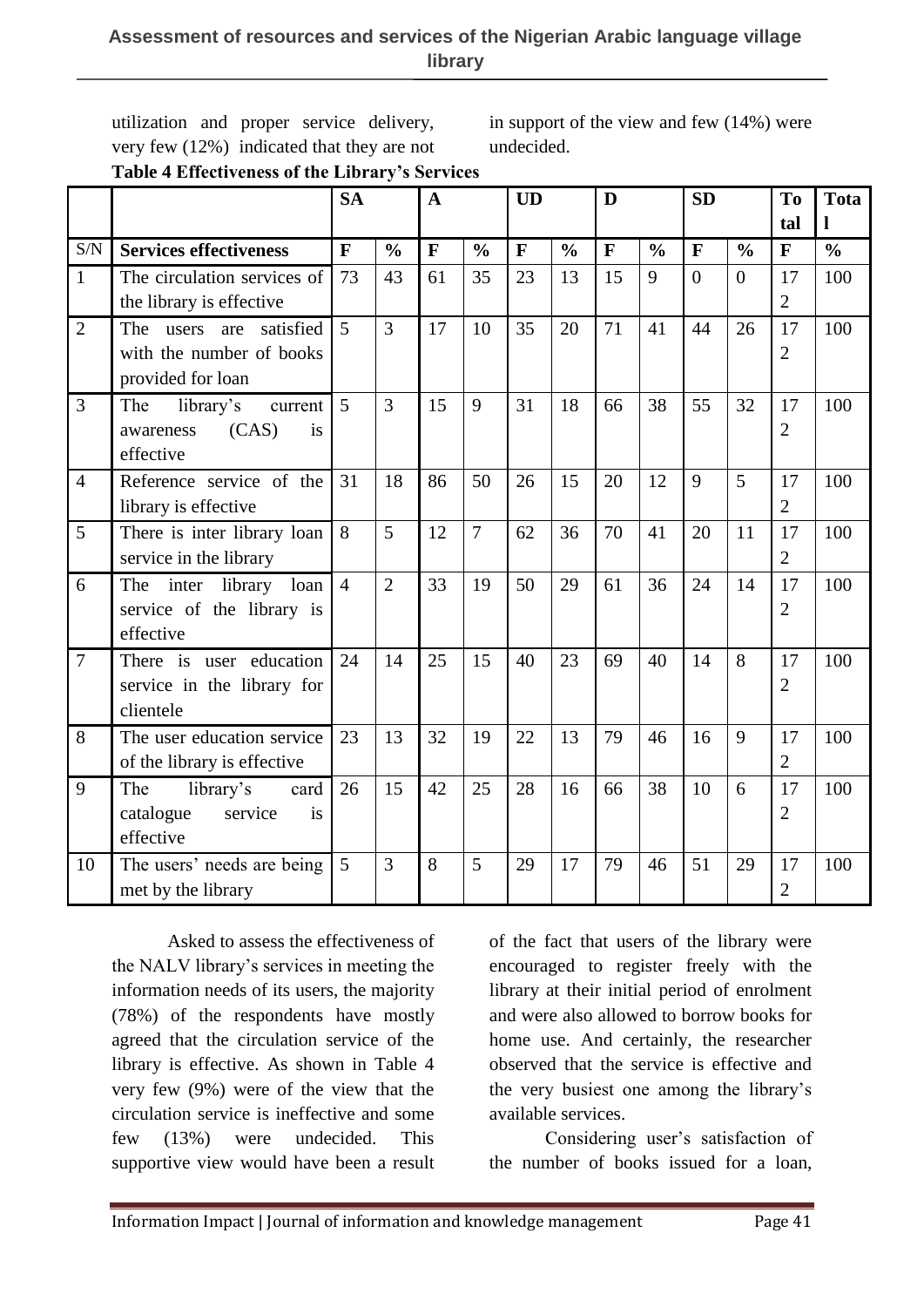|                                               |  | <b>Table 4 Effectiveness of the Library's Services</b> |  |
|-----------------------------------------------|--|--------------------------------------------------------|--|
| very few $(12\%)$ indicated that they are not |  |                                                        |  |
| utilization and proper service delivery,      |  |                                                        |  |

in support of the view and few (14%) were undecided.

|                |                                                                             | <b>SA</b>      |                | $\mathbf A$ |                | <b>UD</b> |               | D  |               | <b>SD</b>    |               | To                   | <b>Tota</b>   |
|----------------|-----------------------------------------------------------------------------|----------------|----------------|-------------|----------------|-----------|---------------|----|---------------|--------------|---------------|----------------------|---------------|
|                |                                                                             |                |                |             |                |           |               |    |               |              |               | tal                  | L             |
| S/N            | <b>Services effectiveness</b>                                               | $\mathbf{F}$   | $\frac{0}{0}$  | F           | $\frac{0}{0}$  | F         | $\frac{0}{0}$ | F  | $\frac{0}{0}$ | $\mathbf{F}$ | $\frac{0}{0}$ | $\mathbf{F}$         | $\frac{0}{0}$ |
| $\mathbf{1}$   | The circulation services of<br>the library is effective                     | 73             | 43             | 61          | 35             | 23        | 13            | 15 | 9             | $\theta$     | $\theta$      | 17<br>$\overline{2}$ | 100           |
| $\overline{2}$ | are satisfied<br>The users<br>with the number of books<br>provided for loan | $\overline{5}$ | $\overline{3}$ | 17          | 10             | 35        | 20            | 71 | 41            | 44           | 26            | 17<br>$\overline{2}$ | 100           |
| $\overline{3}$ | library's<br>The<br>current<br>(CAS)<br>is<br>awareness<br>effective        | 5              | 3              | 15          | 9              | 31        | 18            | 66 | 38            | 55           | 32            | 17<br>$\overline{2}$ | 100           |
| $\overline{4}$ | Reference service of the<br>library is effective                            | 31             | 18             | 86          | 50             | 26        | 15            | 20 | 12            | 9            | 5             | 17<br>$\overline{2}$ | 100           |
| 5              | There is inter library loan<br>service in the library                       | 8              | 5              | 12          | $\overline{7}$ | 62        | 36            | 70 | 41            | 20           | 11            | 17<br>$\overline{2}$ | 100           |
| 6              | The inter library<br>loan<br>service of the library is<br>effective         | $\overline{4}$ | $\overline{2}$ | 33          | 19             | 50        | 29            | 61 | 36            | 24           | 14            | 17<br>$\overline{2}$ | 100           |
| $\overline{7}$ | There is user education<br>service in the library for<br>clientele          | 24             | 14             | 25          | 15             | 40        | 23            | 69 | 40            | 14           | 8             | 17<br>$\overline{2}$ | 100           |
| 8              | The user education service<br>of the library is effective                   | 23             | 13             | 32          | 19             | 22        | 13            | 79 | 46            | 16           | 9             | 17<br>$\overline{2}$ | 100           |
| 9              | The<br>library's<br>card<br>catalogue<br>service<br>is<br>effective         | 26             | 15             | 42          | 25             | 28        | 16            | 66 | 38            | 10           | 6             | 17<br>$\overline{2}$ | 100           |
| 10             | The users' needs are being<br>met by the library                            | 5              | 3              | 8           | 5              | 29        | 17            | 79 | 46            | 51           | 29            | 17<br>$\overline{2}$ | 100           |

Asked to assess the effectiveness of the NALV library"s services in meeting the information needs of its users, the majority (78%) of the respondents have mostly agreed that the circulation service of the library is effective. As shown in Table 4 very few (9%) were of the view that the circulation service is ineffective and some few (13%) were undecided. This supportive view would have been a result

of the fact that users of the library were encouraged to register freely with the library at their initial period of enrolment and were also allowed to borrow books for home use. And certainly, the researcher observed that the service is effective and the very busiest one among the library"s available services.

Considering user's satisfaction of the number of books issued for a loan,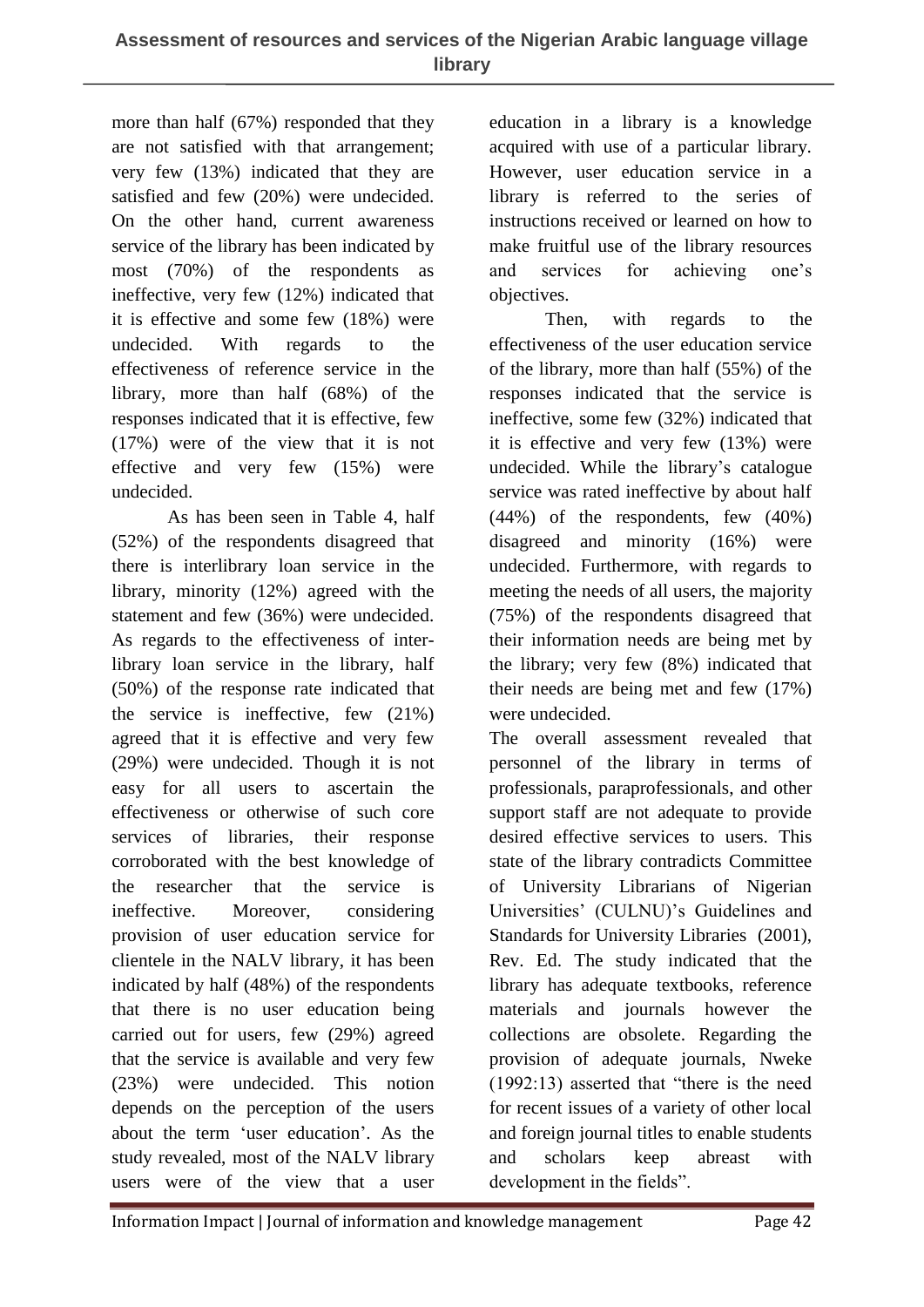more than half (67%) responded that they are not satisfied with that arrangement; very few (13%) indicated that they are satisfied and few (20%) were undecided. On the other hand, current awareness service of the library has been indicated by most (70%) of the respondents as ineffective, very few (12%) indicated that it is effective and some few (18%) were undecided. With regards to the effectiveness of reference service in the library, more than half (68%) of the responses indicated that it is effective, few (17%) were of the view that it is not effective and very few (15%) were undecided.

As has been seen in Table 4, half (52%) of the respondents disagreed that there is interlibrary loan service in the library, minority (12%) agreed with the statement and few (36%) were undecided. As regards to the effectiveness of interlibrary loan service in the library, half (50%) of the response rate indicated that the service is ineffective, few (21%) agreed that it is effective and very few (29%) were undecided. Though it is not easy for all users to ascertain the effectiveness or otherwise of such core services of libraries, their response corroborated with the best knowledge of the researcher that the service is ineffective. Moreover, considering provision of user education service for clientele in the NALV library, it has been indicated by half (48%) of the respondents that there is no user education being carried out for users, few (29%) agreed that the service is available and very few (23%) were undecided. This notion depends on the perception of the users about the term "user education". As the study revealed, most of the NALV library users were of the view that a user

education in a library is a knowledge acquired with use of a particular library. However, user education service in a library is referred to the series of instructions received or learned on how to make fruitful use of the library resources and services for achieving one"s objectives.

Then, with regards to the effectiveness of the user education service of the library, more than half (55%) of the responses indicated that the service is ineffective, some few (32%) indicated that it is effective and very few (13%) were undecided. While the library"s catalogue service was rated ineffective by about half (44%) of the respondents, few (40%) disagreed and minority (16%) were undecided. Furthermore, with regards to meeting the needs of all users, the majority (75%) of the respondents disagreed that their information needs are being met by the library; very few (8%) indicated that their needs are being met and few (17%) were undecided.

The overall assessment revealed that personnel of the library in terms of professionals, paraprofessionals, and other support staff are not adequate to provide desired effective services to users. This state of the library contradicts Committee of University Librarians of Nigerian Universities' (CULNU)'s Guidelines and Standards for University Libraries (2001), Rev. Ed. The study indicated that the library has adequate textbooks, reference materials and journals however the collections are obsolete. Regarding the provision of adequate journals, Nweke (1992:13) asserted that "there is the need for recent issues of a variety of other local and foreign journal titles to enable students and scholars keep abreast with development in the fields".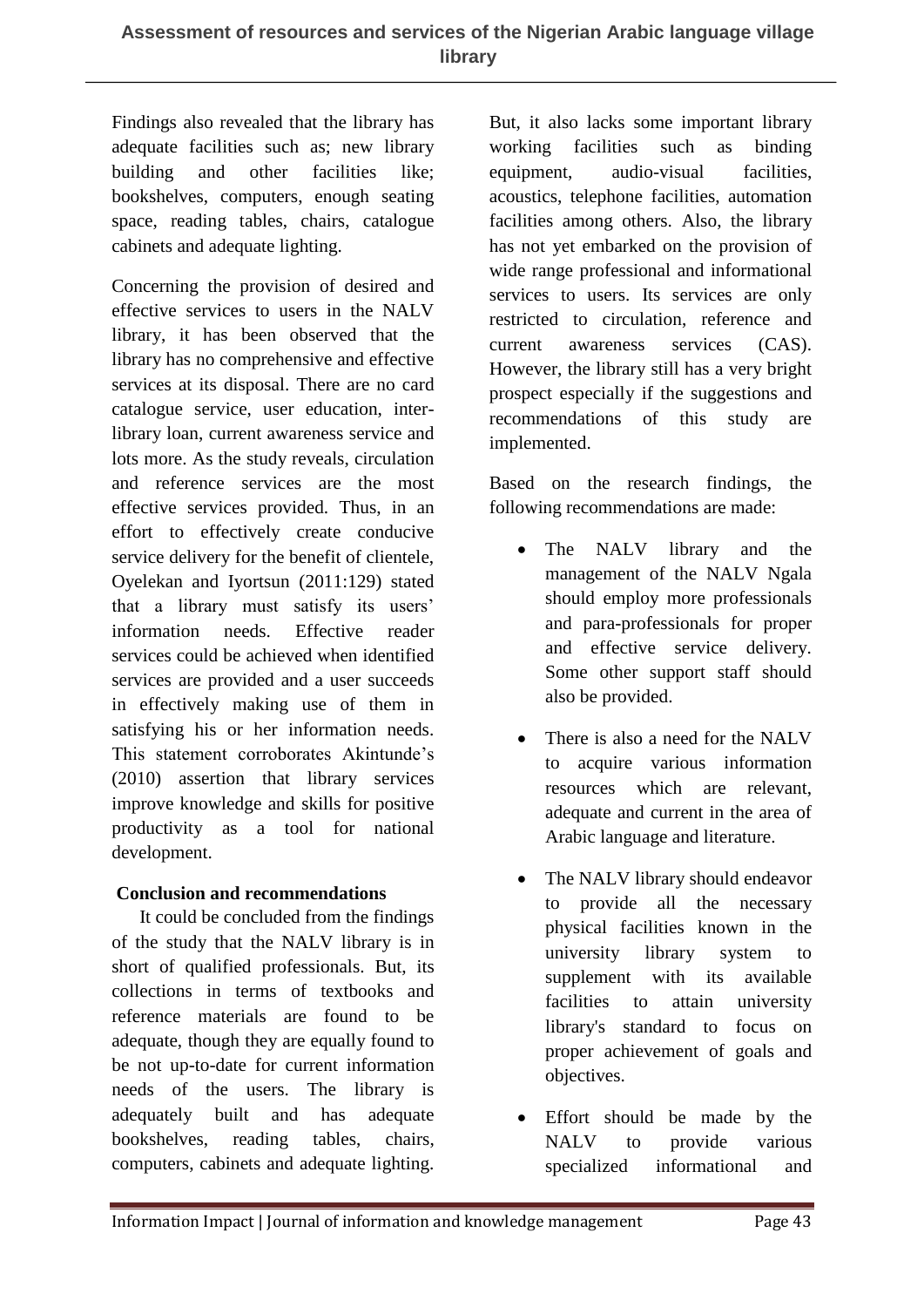Findings also revealed that the library has adequate facilities such as; new library building and other facilities like; bookshelves, computers, enough seating space, reading tables, chairs, catalogue cabinets and adequate lighting.

Concerning the provision of desired and effective services to users in the NALV library, it has been observed that the library has no comprehensive and effective services at its disposal. There are no card catalogue service, user education, interlibrary loan, current awareness service and lots more. As the study reveals, circulation and reference services are the most effective services provided. Thus, in an effort to effectively create conducive service delivery for the benefit of clientele, Oyelekan and Iyortsun (2011:129) stated that a library must satisfy its users" information needs. Effective reader services could be achieved when identified services are provided and a user succeeds in effectively making use of them in satisfying his or her information needs. This statement corroborates Akintunde's (2010) assertion that library services improve knowledge and skills for positive productivity as a tool for national development.

#### **Conclusion and recommendations**

It could be concluded from the findings of the study that the NALV library is in short of qualified professionals. But, its collections in terms of textbooks and reference materials are found to be adequate, though they are equally found to be not up-to-date for current information needs of the users. The library is adequately built and has adequate bookshelves, reading tables, chairs, computers, cabinets and adequate lighting.

But, it also lacks some important library working facilities such as binding equipment, audio-visual facilities, acoustics, telephone facilities, automation facilities among others. Also, the library has not yet embarked on the provision of wide range professional and informational services to users. Its services are only restricted to circulation, reference and current awareness services (CAS). However, the library still has a very bright prospect especially if the suggestions and recommendations of this study are implemented.

Based on the research findings, the following recommendations are made:

- The NALV library and the management of the NALV Ngala should employ more professionals and para-professionals for proper and effective service delivery. Some other support staff should also be provided.
- There is also a need for the NALV to acquire various information resources which are relevant, adequate and current in the area of Arabic language and literature.
- The NALV library should endeavor to provide all the necessary physical facilities known in the university library system to supplement with its available facilities to attain university library's standard to focus on proper achievement of goals and objectives.
- Effort should be made by the NALV to provide various specialized informational and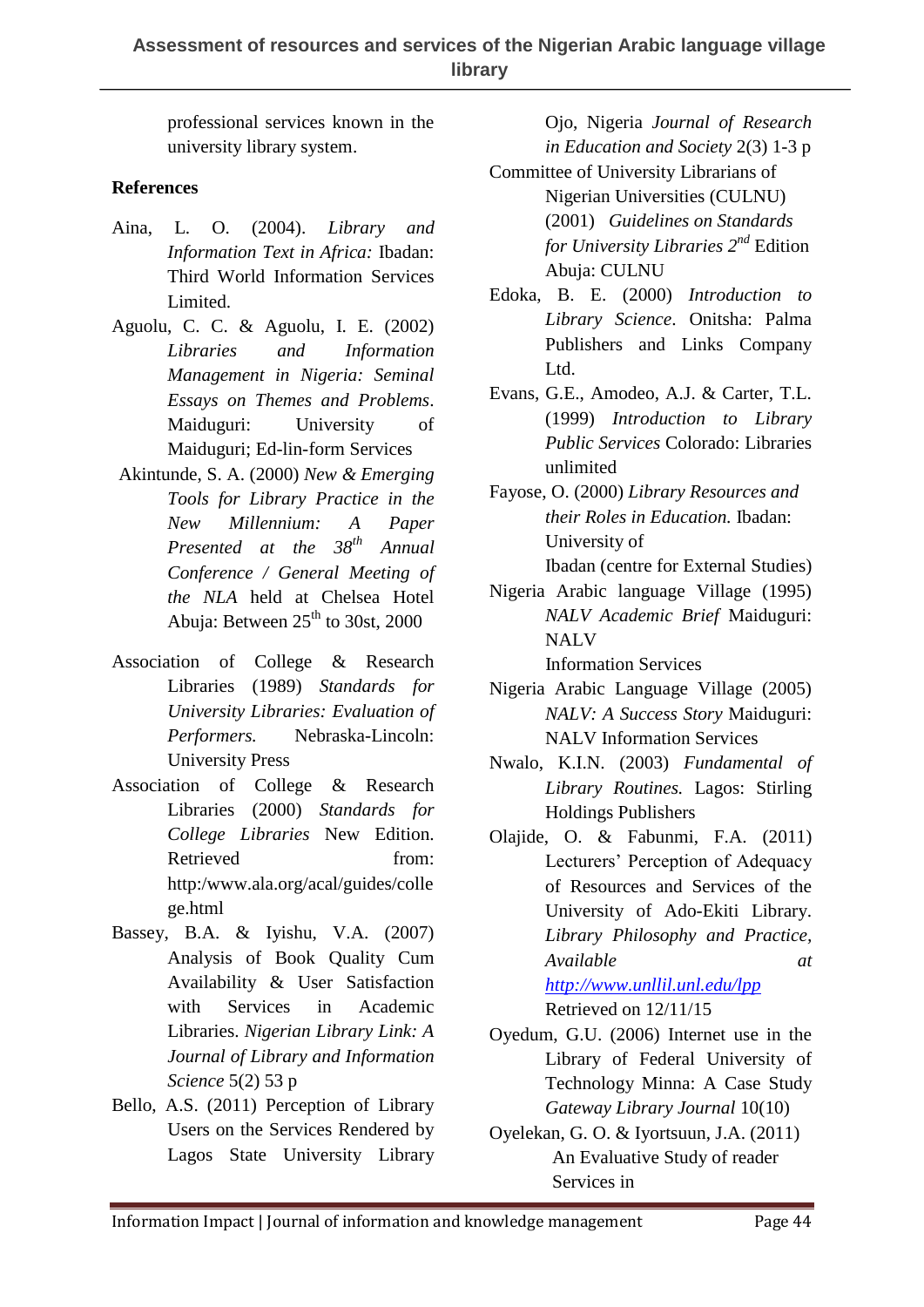professional services known in the university library system.

### **References**

- Aina, L. O. (2004). *Library and Information Text in Africa:* Ibadan: Third World Information Services Limited.
- Aguolu, C. C. & Aguolu, I. E. (2002) *Libraries and Information Management in Nigeria: Seminal Essays on Themes and Problems*. Maiduguri: University of Maiduguri; Ed-lin-form Services
- Akintunde, S. A. (2000) *New & Emerging Tools for Library Practice in the New Millennium: A Paper Presented at the 38th Annual Conference / General Meeting of the NLA* held at Chelsea Hotel Abuja: Between  $25<sup>th</sup>$  to 30st, 2000
- Association of College & Research Libraries (1989) *Standards for University Libraries: Evaluation of Performers.* Nebraska-Lincoln: University Press
- Association of College & Research Libraries (2000) *Standards for College Libraries* New Edition. Retrieved from: http:/www.ala.org/acal/guides/colle ge.html
- Bassey, B.A. & Iyishu, V.A. (2007) Analysis of Book Quality Cum Availability & User Satisfaction with Services in Academic Libraries. *Nigerian Library Link: A Journal of Library and Information Science* 5(2) 53 p
- Bello, A.S. (2011) Perception of Library Users on the Services Rendered by Lagos State University Library

Ojo, Nigeria *Journal of Research in Education and Society* 2(3) 1-3 p

- Committee of University Librarians of Nigerian Universities (CULNU) (2001) *Guidelines on Standards for University Libraries 2nd* Edition Abuja: CULNU
- Edoka, B. E. (2000) *Introduction to Library Science*. Onitsha: Palma Publishers and Links Company Ltd.
- Evans, G.E., Amodeo, A.J. & Carter, T.L. (1999) *Introduction to Library Public Services* Colorado: Libraries unlimited
- Fayose, O. (2000) *Library Resources and their Roles in Education.* Ibadan: University of

Ibadan (centre for External Studies)

Nigeria Arabic language Village (1995) *NALV Academic Brief* Maiduguri: NALV

Information Services

- Nigeria Arabic Language Village (2005) *NALV: A Success Story* Maiduguri: NALV Information Services
- Nwalo, K.I.N. (2003) *Fundamental of Library Routines.* Lagos: Stirling Holdings Publishers
- Olajide, O. & Fabunmi, F.A. (2011) Lecturers" Perception of Adequacy of Resources and Services of the University of Ado-Ekiti Library. *Library Philosophy and Practice, Available at <http://www.unllil.unl.edu/lpp>*

Retrieved on 12/11/15

- Oyedum, G.U. (2006) Internet use in the Library of Federal University of Technology Minna: A Case Study *Gateway Library Journal* 10(10)
- Oyelekan, G. O. & Iyortsuun, J.A. (2011) An Evaluative Study of reader Services in